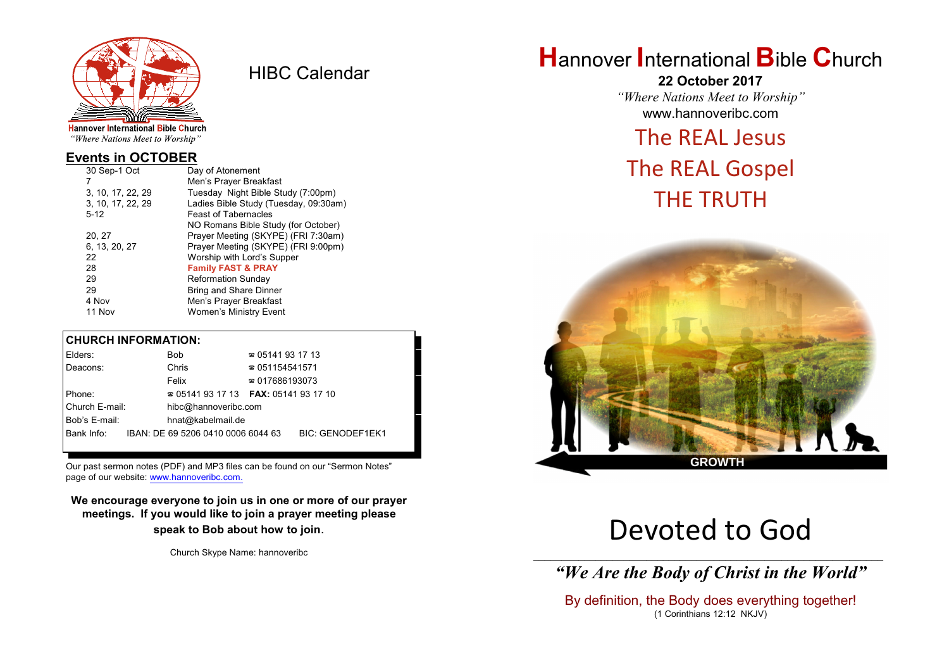

HIBC Calendar

"Where Nations Meet to Worship"

#### **Events in OCTOBER**

| 30 Sep-1 Oct      | Day of Atonement                      |  |  |
|-------------------|---------------------------------------|--|--|
| 7                 | Men's Prayer Breakfast                |  |  |
| 3, 10, 17, 22, 29 | Tuesday Night Bible Study (7:00pm)    |  |  |
| 3, 10, 17, 22, 29 | Ladies Bible Study (Tuesday, 09:30am) |  |  |
| $5-12$            | <b>Feast of Tabernacles</b>           |  |  |
|                   | NO Romans Bible Study (for October)   |  |  |
| 20, 27            | Prayer Meeting (SKYPE) (FRI 7:30am)   |  |  |
| 6, 13, 20, 27     | Prayer Meeting (SKYPE) (FRI 9:00pm)   |  |  |
| 22                | Worship with Lord's Supper            |  |  |
| 28                | <b>Family FAST &amp; PRAY</b>         |  |  |
| 29                | <b>Reformation Sunday</b>             |  |  |
| 29                | <b>Bring and Share Dinner</b>         |  |  |
| 4 Nov             | Men's Prayer Breakfast                |  |  |
| 11 Nov            | Women's Ministry Event                |  |  |
|                   |                                       |  |  |

#### **CHURCH INFORMATION:**

| Elders:        |  | $\approx 05141931713$<br><b>Bob</b>      |                        |                         |  |
|----------------|--|------------------------------------------|------------------------|-------------------------|--|
| Deacons:       |  | Chris                                    | $\approx 051154541571$ |                         |  |
|                |  | Felix                                    | $\approx 017686193073$ |                         |  |
| Phone:         |  | $\approx 05141931713$ FAX: 0514193 17 10 |                        |                         |  |
| Church E-mail: |  | hibc@hannoveribc.com                     |                        |                         |  |
| Bob's E-mail:  |  | hnat@kabelmail.de                        |                        |                         |  |
| Bank Info:     |  | IBAN: DE 69 5206 0410 0006 6044 63       |                        | <b>BIC: GENODEF1EK1</b> |  |
|                |  |                                          |                        |                         |  |

Our past sermon notes (PDF) and MP3 files can be found on our "Sermon Notes" page of our website: [www.hannoveribc.com.](http://www.hannoveribc.com.)

**We encourage everyone to join us in one or more of our prayer meetings. If you would like to join a prayer meeting please speak to Bob about how to join**.

Church Skype Name: hannoveribc

# **H**annover **I**nternational **B**ible **C**hurch

**22 October 2017** *"Where Nations Meet to Worship"* www.hannoveribc.com

# The REAL Jesus

# The REAL Gospel THE TRUTH



# Devoted to God

\_\_\_\_\_\_\_\_\_\_\_\_\_\_\_\_\_\_\_\_\_\_\_\_\_\_\_\_\_\_\_\_\_\_\_\_\_\_\_\_\_\_\_\_\_\_\_\_\_\_\_\_\_\_\_\_\_\_\_\_\_\_ *"We Are the Body of Christ in the World"*

By definition, the Body does everything together! (1 Corinthians 12:12 NKJV)